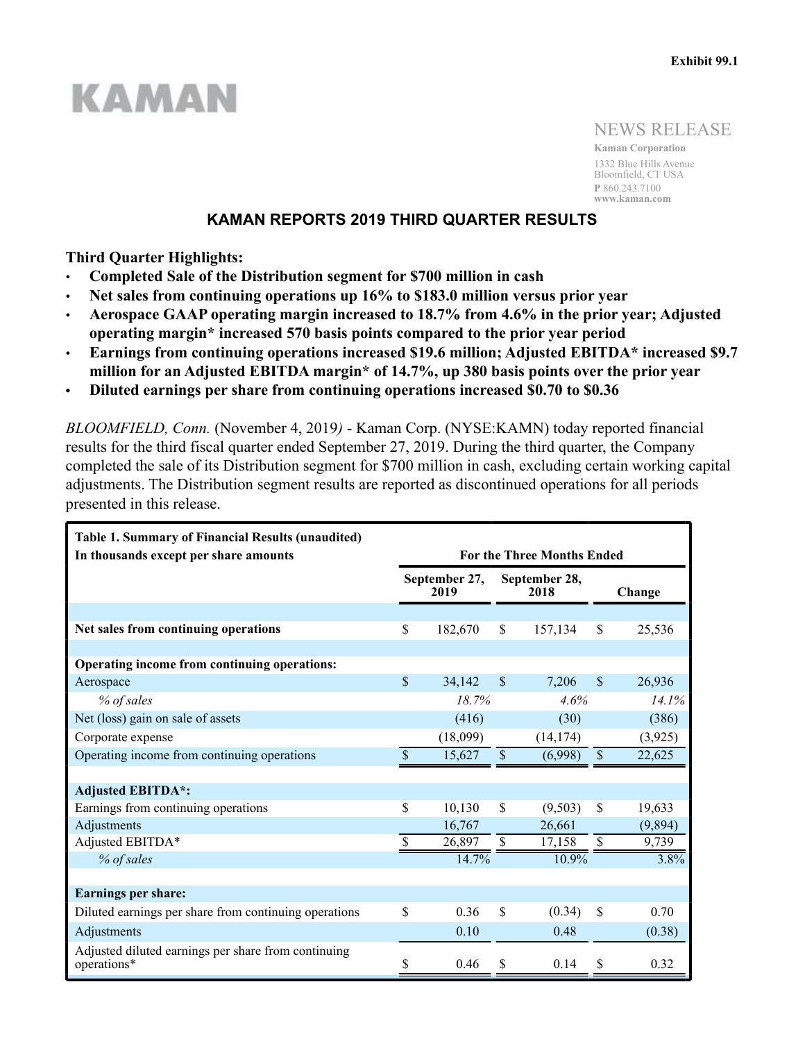# KAMAN

NEWS RELEASE

**Kaman Corporation** 1332 Blue Hills Avenue Bloomfield, CT USA **P** 860.243.7100 **www.kaman.com**

# **KAMAN REPORTS 2019 THIRD QUARTER RESULTS**

**Third Quarter Highlights:**

- **Completed Sale of the Distribution segment for \$700 million in cash**
- **Net sales from continuing operations up 16% to \$183.0 million versus prior year**
- **Aerospace GAAP operating margin increased to 18.7% from 4.6% in the prior year; Adjusted operating margin\* increased 570 basis points compared to the prior year period**
- **Earnings from continuing operations increased \$19.6 million; Adjusted EBITDA\* increased \$9.7 million for an Adjusted EBITDA margin\* of 14.7%, up 380 basis points over the prior year**
- **Diluted earnings per share from continuing operations increased \$0.70 to \$0.36**

*BLOOMFIELD, Conn.* (November 4, 2019*)* - Kaman Corp. (NYSE:KAMN) today reported financial results for the third fiscal quarter ended September 27, 2019. During the third quarter, the Company completed the sale of its Distribution segment for \$700 million in cash, excluding certain working capital adjustments. The Distribution segment results are reported as discontinued operations for all periods presented in this release.

| <b>Table 1. Summary of Financial Results (unaudited)</b><br>In thousands except per share amounts | <b>For the Three Months Ended</b> |          |                           |                       |                           |         |  |  |  |
|---------------------------------------------------------------------------------------------------|-----------------------------------|----------|---------------------------|-----------------------|---------------------------|---------|--|--|--|
|                                                                                                   | September 27,<br>2019             |          |                           | September 28,<br>2018 |                           | Change  |  |  |  |
|                                                                                                   |                                   |          |                           |                       |                           |         |  |  |  |
| Net sales from continuing operations                                                              | \$                                | 182,670  | \$<br>157,134             |                       | \$                        | 25,536  |  |  |  |
|                                                                                                   |                                   |          |                           |                       |                           |         |  |  |  |
| Operating income from continuing operations:                                                      |                                   |          |                           |                       |                           |         |  |  |  |
| Aerospace                                                                                         | \$                                | 34,142   | $\boldsymbol{\mathsf{S}}$ | 7,206                 | $\boldsymbol{\mathsf{S}}$ | 26,936  |  |  |  |
| % of sales                                                                                        |                                   | 18.7%    |                           | 4.6%                  |                           | 14.1%   |  |  |  |
| Net (loss) gain on sale of assets                                                                 |                                   | (416)    |                           | (30)                  |                           | (386)   |  |  |  |
| Corporate expense                                                                                 |                                   | (18,099) |                           | (14, 174)             |                           | (3,925) |  |  |  |
| Operating income from continuing operations                                                       | $\mathcal{S}$                     | 15,627   | $\boldsymbol{\mathsf{S}}$ | (6,998)               | \$                        | 22,625  |  |  |  |
|                                                                                                   |                                   |          |                           |                       |                           |         |  |  |  |
| <b>Adjusted EBITDA*:</b>                                                                          |                                   |          |                           |                       |                           |         |  |  |  |
| Earnings from continuing operations                                                               | \$                                | 10,130   | \$                        | (9,503)               | \$                        | 19,633  |  |  |  |
| Adjustments                                                                                       |                                   | 16,767   |                           | 26,661                |                           | (9,894) |  |  |  |
| Adjusted EBITDA*                                                                                  | \$                                | 26,897   | \$                        | 17,158                | \$                        | 9,739   |  |  |  |
| % of sales                                                                                        |                                   | 14.7%    |                           | 10.9%                 |                           | $3.8\%$ |  |  |  |
|                                                                                                   |                                   |          |                           |                       |                           |         |  |  |  |
| <b>Earnings per share:</b>                                                                        |                                   |          |                           |                       |                           |         |  |  |  |
| Diluted earnings per share from continuing operations                                             | \$                                | 0.36     | \$                        | (0.34)                | $\mathbf S$               | 0.70    |  |  |  |
| Adjustments                                                                                       |                                   | 0.10     |                           | 0.48                  |                           | (0.38)  |  |  |  |
| Adjusted diluted earnings per share from continuing<br>operations*                                | \$                                | 0.46     | \$                        | 0.14                  | \$                        | 0.32    |  |  |  |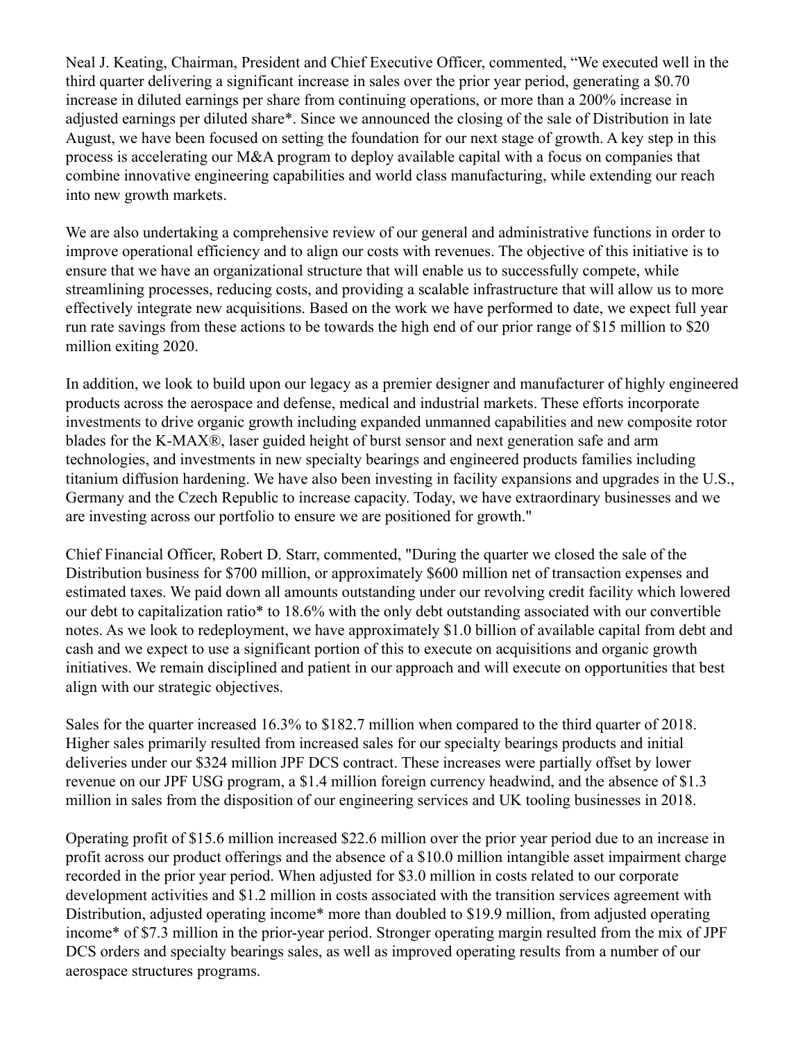Neal J. Keating, Chairman, President and Chief Executive Officer, commented, "We executed well in the third quarter delivering a significant increase in sales over the prior year period, generating a \$0.70 increase in diluted earnings per share from continuing operations, or more than a 200% increase in adjusted earnings per diluted share\*. Since we announced the closing of the sale of Distribution in late August, we have been focused on setting the foundation for our next stage of growth. A key step in this process is accelerating our M&A program to deploy available capital with a focus on companies that combine innovative engineering capabilities and world class manufacturing, while extending our reach into new growth markets.

We are also undertaking a comprehensive review of our general and administrative functions in order to improve operational efficiency and to align our costs with revenues. The objective of this initiative is to ensure that we have an organizational structure that will enable us to successfully compete, while streamlining processes, reducing costs, and providing a scalable infrastructure that will allow us to more effectively integrate new acquisitions. Based on the work we have performed to date, we expect full year run rate savings from these actions to be towards the high end of our prior range of \$15 million to \$20 million exiting 2020.

In addition, we look to build upon our legacy as a premier designer and manufacturer of highly engineered products across the aerospace and defense, medical and industrial markets. These efforts incorporate investments to drive organic growth including expanded unmanned capabilities and new composite rotor blades for the K-MAX®, laser guided height of burst sensor and next generation safe and arm technologies, and investments in new specialty bearings and engineered products families including titanium diffusion hardening. We have also been investing in facility expansions and upgrades in the U.S., Germany and the Czech Republic to increase capacity. Today, we have extraordinary businesses and we are investing across our portfolio to ensure we are positioned for growth."

Chief Financial Officer, Robert D. Starr, commented, "During the quarter we closed the sale of the Distribution business for \$700 million, or approximately \$600 million net of transaction expenses and estimated taxes. We paid down all amounts outstanding under our revolving credit facility which lowered our debt to capitalization ratio\* to 18.6% with the only debt outstanding associated with our convertible notes. As we look to redeployment, we have approximately \$1.0 billion of available capital from debt and cash and we expect to use a significant portion of this to execute on acquisitions and organic growth initiatives. We remain disciplined and patient in our approach and will execute on opportunities that best align with our strategic objectives.

Sales for the quarter increased 16.3% to \$182.7 million when compared to the third quarter of 2018. Higher sales primarily resulted from increased sales for our specialty bearings products and initial deliveries under our \$324 million JPF DCS contract. These increases were partially offset by lower revenue on our JPF USG program, a \$1.4 million foreign currency headwind, and the absence of \$1.3 million in sales from the disposition of our engineering services and UK tooling businesses in 2018.

Operating profit of \$15.6 million increased \$22.6 million over the prior year period due to an increase in profit across our product offerings and the absence of a \$10.0 million intangible asset impairment charge recorded in the prior year period. When adjusted for \$3.0 million in costs related to our corporate development activities and \$1.2 million in costs associated with the transition services agreement with Distribution, adjusted operating income<sup>\*</sup> more than doubled to \$19.9 million, from adjusted operating income\* of \$7.3 million in the prior-year period. Stronger operating margin resulted from the mix of JPF DCS orders and specialty bearings sales, as well as improved operating results from a number of our aerospace structures programs.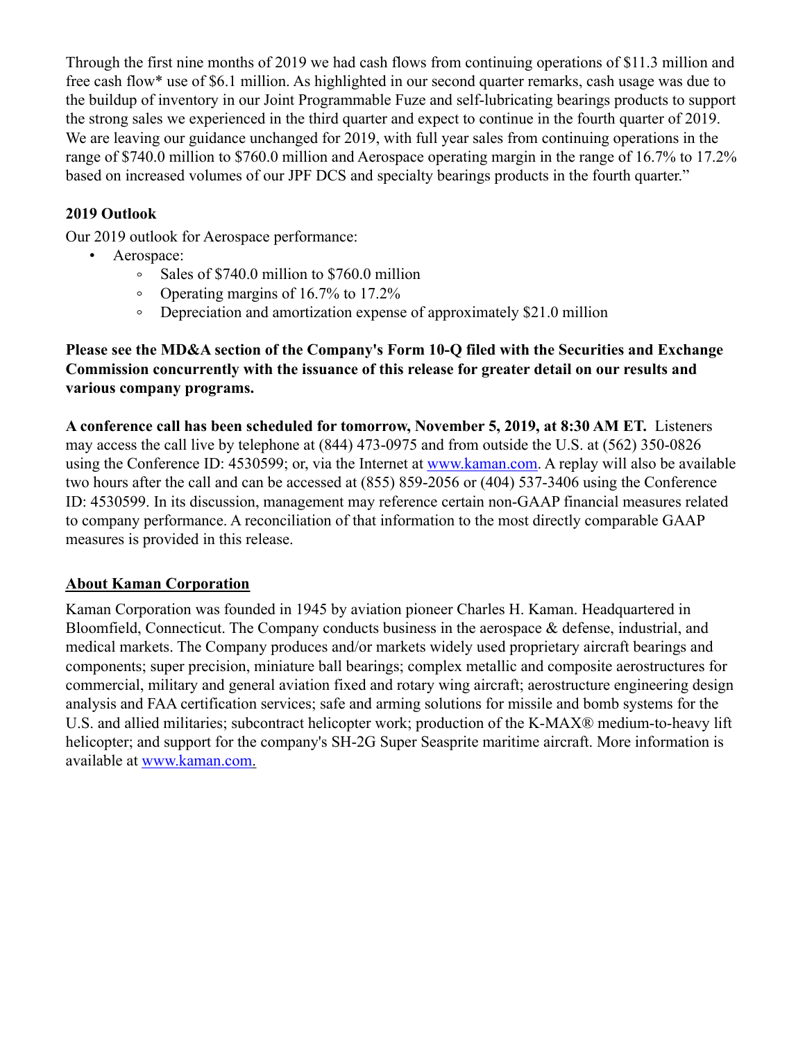Through the first nine months of 2019 we had cash flows from continuing operations of \$11.3 million and free cash flow\* use of \$6.1 million. As highlighted in our second quarter remarks, cash usage was due to the buildup of inventory in our Joint Programmable Fuze and self-lubricating bearings products to support the strong sales we experienced in the third quarter and expect to continue in the fourth quarter of 2019. We are leaving our guidance unchanged for 2019, with full year sales from continuing operations in the range of \$740.0 million to \$760.0 million and Aerospace operating margin in the range of 16.7% to 17.2% based on increased volumes of our JPF DCS and specialty bearings products in the fourth quarter."

# **2019 Outlook**

Our 2019 outlook for Aerospace performance:

- Aerospace:
	- $\circ$ Sales of \$740.0 million to \$760.0 million
	- $\circ$ Operating margins of 16.7% to 17.2%
	- Depreciation and amortization expense of approximately \$21.0 million  $\circ$

## **Please see the MD&A section of the Company's Form 10-Q filed with the Securities and Exchange Commission concurrently with the issuance of this release for greater detail on our results and various company programs.**

**A conference call has been scheduled for tomorrow, November 5, 2019, at 8:30 AM ET.** Listeners may access the call live by telephone at (844) 473-0975 and from outside the U.S. at (562) 350-0826 using the Conference ID: 4530599; or, via the Internet at www.kaman.com. A replay will also be available two hours after the call and can be accessed at (855) 859-2056 or (404) 537-3406 using the Conference ID: 4530599. In its discussion, management may reference certain non-GAAP financial measures related to company performance. A reconciliation of that information to the most directly comparable GAAP measures is provided in this release.

## **About Kaman Corporation**

Kaman Corporation was founded in 1945 by aviation pioneer Charles H. Kaman. Headquartered in Bloomfield, Connecticut. The Company conducts business in the aerospace & defense, industrial, and medical markets. The Company produces and/or markets widely used proprietary aircraft bearings and components; super precision, miniature ball bearings; complex metallic and composite aerostructures for commercial, military and general aviation fixed and rotary wing aircraft; aerostructure engineering design analysis and FAA certification services; safe and arming solutions for missile and bomb systems for the U.S. and allied militaries; subcontract helicopter work; production of the K-MAX® medium-to-heavy lift helicopter; and support for the company's SH-2G Super Seasprite maritime aircraft. More information is available at www.kaman.com.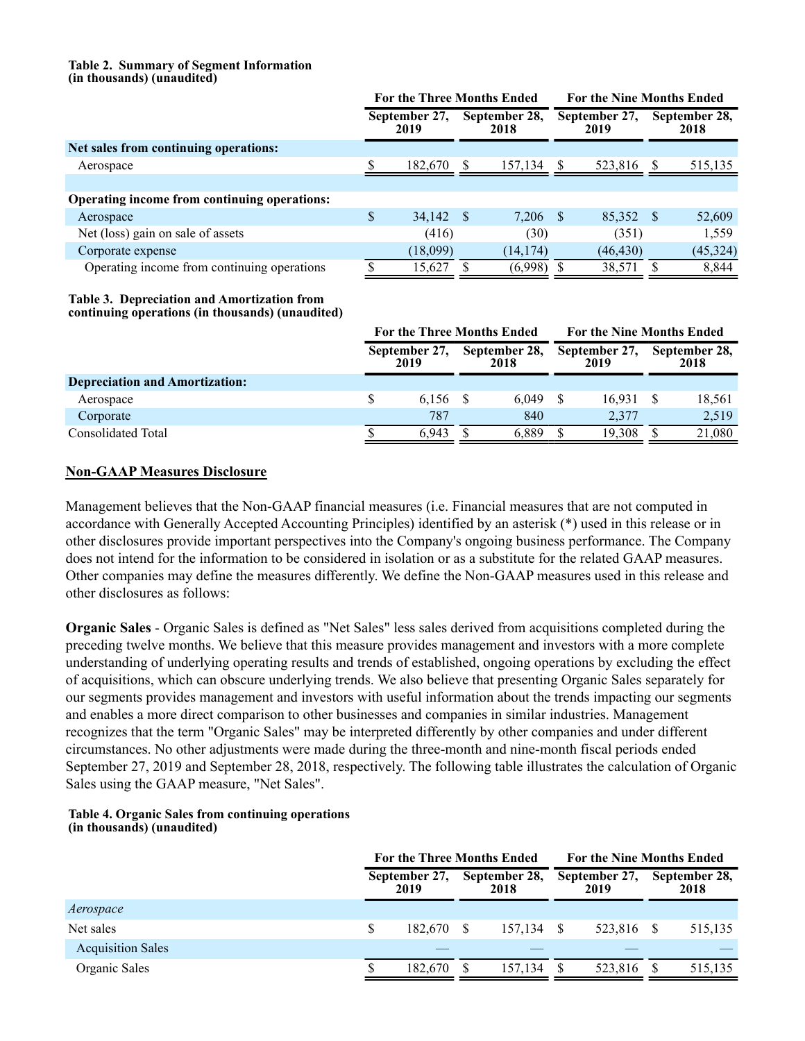#### **Table 2. Summary of Segment Information (in thousands) (unaudited)**

|                                              | <b>For the Three Months Ended</b> |      | <b>For the Nine Months Ended</b> |   |                       |    |                       |
|----------------------------------------------|-----------------------------------|------|----------------------------------|---|-----------------------|----|-----------------------|
|                                              | September 27,<br>2019             |      | September 28,<br>2018            |   | September 27,<br>2019 |    | September 28,<br>2018 |
| Net sales from continuing operations:        |                                   |      |                                  |   |                       |    |                       |
| Aerospace                                    | 182,670                           |      | 157,134                          | S | 523,816               | S  | 515,135               |
|                                              |                                   |      |                                  |   |                       |    |                       |
| Operating income from continuing operations: |                                   |      |                                  |   |                       |    |                       |
| Aerospace                                    | \$<br>34,142                      | - \$ | $7,206$ \$                       |   | 85,352                | -8 | 52,609                |
| Net (loss) gain on sale of assets            | (416)                             |      | (30)                             |   | (351)                 |    | 1,559                 |
| Corporate expense                            | 18,099                            |      | (14, 174)                        |   | (46, 430)             |    | (45, 324)             |
| Operating income from continuing operations  | 15,627                            |      | (6,998)                          |   | 38,571                |    | 8,844                 |

#### **Table 3. Depreciation and Amortization from continuing operations (in thousands) (unaudited)**

|                                       | <b>For the Three Months Ended</b> |                       |  |                       | <b>For the Nine Months Ended</b> |                       |  |                       |
|---------------------------------------|-----------------------------------|-----------------------|--|-----------------------|----------------------------------|-----------------------|--|-----------------------|
|                                       |                                   | September 27,<br>2019 |  | September 28,<br>2018 |                                  | September 27,<br>2019 |  | September 28,<br>2018 |
| <b>Depreciation and Amortization:</b> |                                   |                       |  |                       |                                  |                       |  |                       |
| Aerospace                             |                                   | 6.156 \$              |  | 6.049                 |                                  | 16,931                |  | 18,561                |
| Corporate                             |                                   | 787                   |  | 840                   |                                  | 2.377                 |  | 2,519                 |
| Consolidated Total                    |                                   | 6.943                 |  | 6.889                 |                                  | 19.308                |  | 21,080                |

## **Non-GAAP Measures Disclosure**

Management believes that the Non-GAAP financial measures (i.e. Financial measures that are not computed in accordance with Generally Accepted Accounting Principles) identified by an asterisk (\*) used in this release or in other disclosures provide important perspectives into the Company's ongoing business performance. The Company does not intend for the information to be considered in isolation or as a substitute for the related GAAP measures. Other companies may define the measures differently. We define the Non-GAAP measures used in this release and other disclosures as follows:

**Organic Sales** - Organic Sales is defined as "Net Sales" less sales derived from acquisitions completed during the preceding twelve months. We believe that this measure provides management and investors with a more complete understanding of underlying operating results and trends of established, ongoing operations by excluding the effect of acquisitions, which can obscure underlying trends. We also believe that presenting Organic Sales separately for our segments provides management and investors with useful information about the trends impacting our segments and enables a more direct comparison to other businesses and companies in similar industries. Management recognizes that the term "Organic Sales" may be interpreted differently by other companies and under different circumstances. No other adjustments were made during the three-month and nine-month fiscal periods ended September 27, 2019 and September 28, 2018, respectively. The following table illustrates the calculation of Organic Sales using the GAAP measure, "Net Sales".

## **Table 4. Organic Sales from continuing operations (in thousands) (unaudited)**

|                          | <b>For the Three Months Ended</b> |                       | <b>For the Nine Months Ended</b> |                       |         |    |                       |
|--------------------------|-----------------------------------|-----------------------|----------------------------------|-----------------------|---------|----|-----------------------|
|                          | September 27,<br>2019             | September 28,<br>2018 |                                  | September 27,<br>2019 |         |    | September 28,<br>2018 |
| Aerospace                |                                   |                       |                                  |                       |         |    |                       |
| Net sales                | 182.670                           | -S                    | 157,134                          |                       | 523,816 | -S | 515,135               |
| <b>Acquisition Sales</b> |                                   |                       |                                  |                       |         |    |                       |
| Organic Sales            | 182.670                           |                       | 157,134                          |                       | 523,816 |    | 515,135               |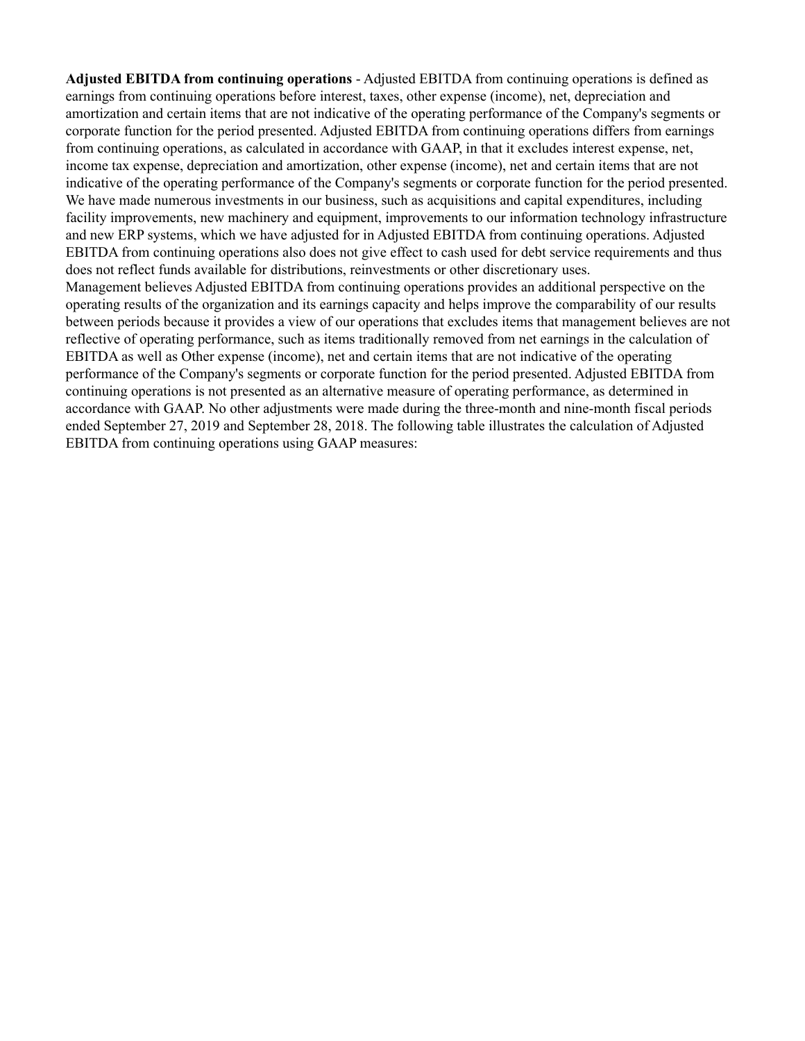**Adjusted EBITDA from continuing operations** - Adjusted EBITDA from continuing operations is defined as earnings from continuing operations before interest, taxes, other expense (income), net, depreciation and amortization and certain items that are not indicative of the operating performance of the Company's segments or corporate function for the period presented. Adjusted EBITDA from continuing operations differs from earnings from continuing operations, as calculated in accordance with GAAP, in that it excludes interest expense, net, income tax expense, depreciation and amortization, other expense (income), net and certain items that are not indicative of the operating performance of the Company's segments or corporate function for the period presented. We have made numerous investments in our business, such as acquisitions and capital expenditures, including facility improvements, new machinery and equipment, improvements to our information technology infrastructure and new ERP systems, which we have adjusted for in Adjusted EBITDA from continuing operations. Adjusted EBITDA from continuing operations also does not give effect to cash used for debt service requirements and thus does not reflect funds available for distributions, reinvestments or other discretionary uses. Management believes Adjusted EBITDA from continuing operations provides an additional perspective on the operating results of the organization and its earnings capacity and helps improve the comparability of our results between periods because it provides a view of our operations that excludes items that management believes are not reflective of operating performance, such as items traditionally removed from net earnings in the calculation of EBITDA as well as Other expense (income), net and certain items that are not indicative of the operating performance of the Company's segments or corporate function for the period presented. Adjusted EBITDA from continuing operations is not presented as an alternative measure of operating performance, as determined in accordance with GAAP. No other adjustments were made during the three-month and nine-month fiscal periods ended September 27, 2019 and September 28, 2018. The following table illustrates the calculation of Adjusted

EBITDA from continuing operations using GAAP measures: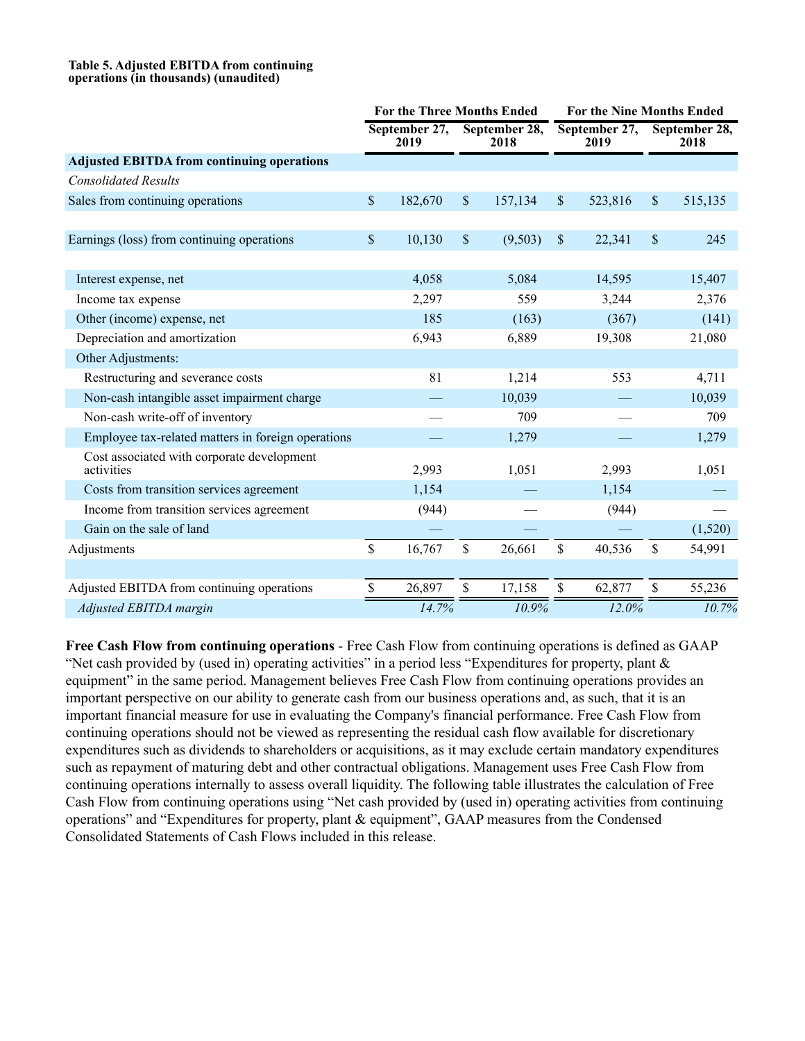#### **Table 5. Adjusted EBITDA from continuing operations (in thousands) (unaudited)**

|                                                          | <b>For the Three Months Ended</b> |                       |                      |                       |                       | <b>For the Nine Months Ended</b> |                           |                       |  |  |
|----------------------------------------------------------|-----------------------------------|-----------------------|----------------------|-----------------------|-----------------------|----------------------------------|---------------------------|-----------------------|--|--|
|                                                          |                                   | September 27,<br>2019 |                      | September 28,<br>2018 | September 27,<br>2019 |                                  |                           | September 28,<br>2018 |  |  |
| <b>Adjusted EBITDA from continuing operations</b>        |                                   |                       |                      |                       |                       |                                  |                           |                       |  |  |
| <b>Consolidated Results</b>                              |                                   |                       |                      |                       |                       |                                  |                           |                       |  |  |
| Sales from continuing operations                         | \$                                | 182,670               | $\sqrt{\frac{1}{2}}$ | 157,134               | $\mathcal{S}$         | 523,816                          | $\boldsymbol{\mathsf{S}}$ | 515,135               |  |  |
|                                                          |                                   |                       |                      |                       |                       |                                  |                           |                       |  |  |
| Earnings (loss) from continuing operations               | \$                                | 10,130                | \$                   | (9,503)               | $\mathbf{\hat{S}}$    | 22,341                           | $\mathbf{\$}$             | 245                   |  |  |
|                                                          |                                   |                       |                      |                       |                       |                                  |                           |                       |  |  |
| Interest expense, net                                    |                                   | 4,058                 |                      | 5,084                 |                       | 14,595                           |                           | 15,407                |  |  |
| Income tax expense                                       |                                   | 2,297                 |                      | 559                   |                       | 3,244                            |                           | 2,376                 |  |  |
| Other (income) expense, net                              |                                   | 185                   |                      | (163)                 |                       | (367)                            |                           | (141)                 |  |  |
| Depreciation and amortization                            |                                   | 6,943                 |                      | 6,889                 |                       | 19,308                           |                           | 21,080                |  |  |
| Other Adjustments:                                       |                                   |                       |                      |                       |                       |                                  |                           |                       |  |  |
| Restructuring and severance costs                        |                                   | 81                    |                      | 1,214                 |                       | 553                              |                           | 4,711                 |  |  |
| Non-cash intangible asset impairment charge              |                                   |                       |                      | 10,039                |                       |                                  |                           | 10,039                |  |  |
| Non-cash write-off of inventory                          |                                   |                       |                      | 709                   |                       |                                  |                           | 709                   |  |  |
| Employee tax-related matters in foreign operations       |                                   |                       |                      | 1,279                 |                       |                                  |                           | 1,279                 |  |  |
| Cost associated with corporate development<br>activities |                                   | 2,993                 |                      | 1,051                 |                       | 2,993                            |                           | 1,051                 |  |  |
| Costs from transition services agreement                 |                                   | 1,154                 |                      |                       |                       | 1,154                            |                           |                       |  |  |
| Income from transition services agreement                |                                   | (944)                 |                      |                       |                       | (944)                            |                           |                       |  |  |
| Gain on the sale of land                                 |                                   |                       |                      |                       |                       |                                  |                           | (1,520)               |  |  |
| Adjustments                                              | \$                                | 16,767                | \$                   | 26,661                | \$                    | 40,536                           | \$                        | 54,991                |  |  |
|                                                          |                                   |                       |                      |                       |                       |                                  |                           |                       |  |  |
| Adjusted EBITDA from continuing operations               | \$                                | 26,897                | \$                   | 17,158                | \$                    | 62,877                           | \$                        | 55,236                |  |  |
| Adjusted EBITDA margin                                   |                                   | 14.7%                 |                      | 10.9%                 |                       | 12.0%                            |                           | 10.7%                 |  |  |

**Free Cash Flow from continuing operations** - Free Cash Flow from continuing operations is defined as GAAP "Net cash provided by (used in) operating activities" in a period less "Expenditures for property, plant  $\&$ equipment" in the same period. Management believes Free Cash Flow from continuing operations provides an important perspective on our ability to generate cash from our business operations and, as such, that it is an important financial measure for use in evaluating the Company's financial performance. Free Cash Flow from continuing operations should not be viewed as representing the residual cash flow available for discretionary expenditures such as dividends to shareholders or acquisitions, as it may exclude certain mandatory expenditures such as repayment of maturing debt and other contractual obligations. Management uses Free Cash Flow from continuing operations internally to assess overall liquidity. The following table illustrates the calculation of Free Cash Flow from continuing operations using "Net cash provided by (used in) operating activities from continuing operations" and "Expenditures for property, plant & equipment", GAAP measures from the Condensed Consolidated Statements of Cash Flows included in this release.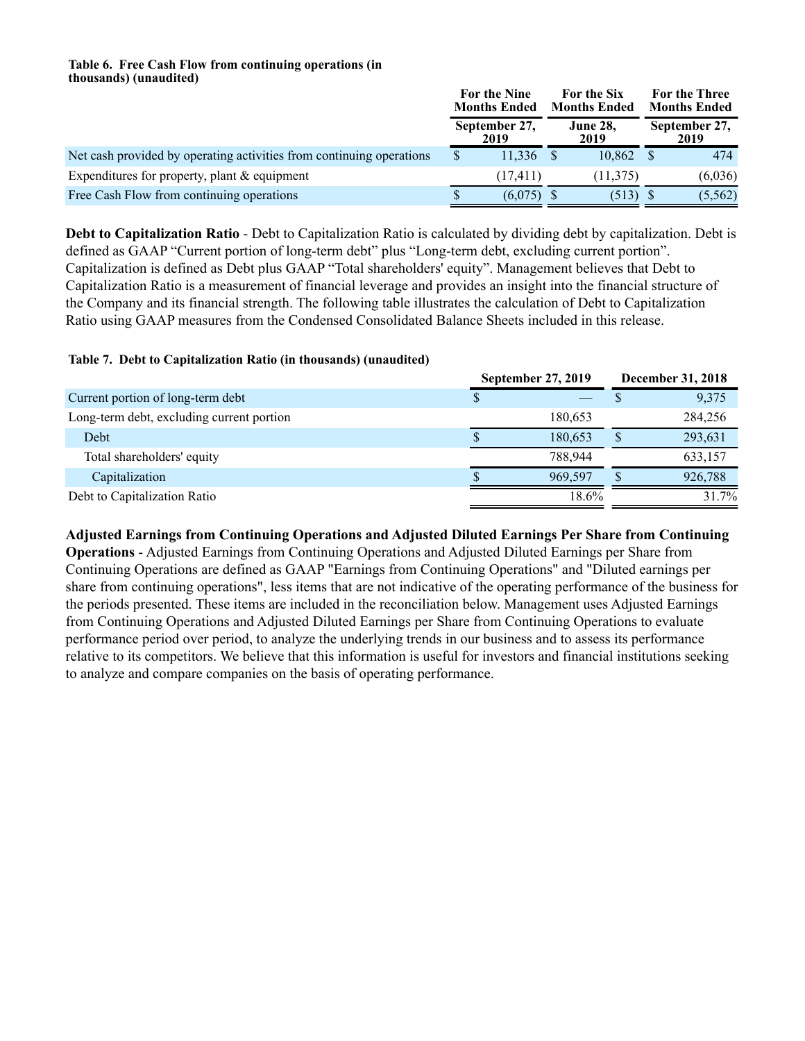#### **Table 6. Free Cash Flow from continuing operations (in thousands) (unaudited)**

|                                                                      | For the Nine<br><b>Months Ended</b> |  | For the Six<br><b>Months Ended</b> | For the Three<br><b>Months Ended</b> |                       |  |
|----------------------------------------------------------------------|-------------------------------------|--|------------------------------------|--------------------------------------|-----------------------|--|
|                                                                      | September 27,<br>2019               |  | <b>June 28,</b><br>2019            |                                      | September 27,<br>2019 |  |
| Net cash provided by operating activities from continuing operations | 11.336                              |  | 10.862                             |                                      | 474                   |  |
| Expenditures for property, plant $&$ equipment                       | (17, 411)                           |  | (11, 375)                          |                                      | (6,036)               |  |
| Free Cash Flow from continuing operations                            | (6.075)                             |  | $(513)$ \$                         |                                      | (5, 562)              |  |

**Debt to Capitalization Ratio** - Debt to Capitalization Ratio is calculated by dividing debt by capitalization. Debt is defined as GAAP "Current portion of long-term debt" plus "Long-term debt, excluding current portion". Capitalization is defined as Debt plus GAAP "Total shareholders' equity". Management believes that Debt to Capitalization Ratio is a measurement of financial leverage and provides an insight into the financial structure of the Company and its financial strength. The following table illustrates the calculation of Debt to Capitalization Ratio using GAAP measures from the Condensed Consolidated Balance Sheets included in this release.

## **Table 7. Debt to Capitalization Ratio (in thousands) (unaudited)**

|                                           | <b>September 27, 2019</b> | December 31, 2018 |
|-------------------------------------------|---------------------------|-------------------|
| Current portion of long-term debt         |                           | 9,375             |
| Long-term debt, excluding current portion | 180.653                   | 284,256           |
| Debt                                      | 180.653                   | 293,631           |
| Total shareholders' equity                | 788.944                   | 633,157           |
| Capitalization                            | 969.597                   | 926,788           |
| Debt to Capitalization Ratio              | 18.6%                     | 31.7%             |

**Adjusted Earnings from Continuing Operations and Adjusted Diluted Earnings Per Share from Continuing** 

**Operations** - Adjusted Earnings from Continuing Operations and Adjusted Diluted Earnings per Share from Continuing Operations are defined as GAAP "Earnings from Continuing Operations" and "Diluted earnings per share from continuing operations", less items that are not indicative of the operating performance of the business for the periods presented. These items are included in the reconciliation below. Management uses Adjusted Earnings from Continuing Operations and Adjusted Diluted Earnings per Share from Continuing Operations to evaluate performance period over period, to analyze the underlying trends in our business and to assess its performance relative to its competitors. We believe that this information is useful for investors and financial institutions seeking to analyze and compare companies on the basis of operating performance.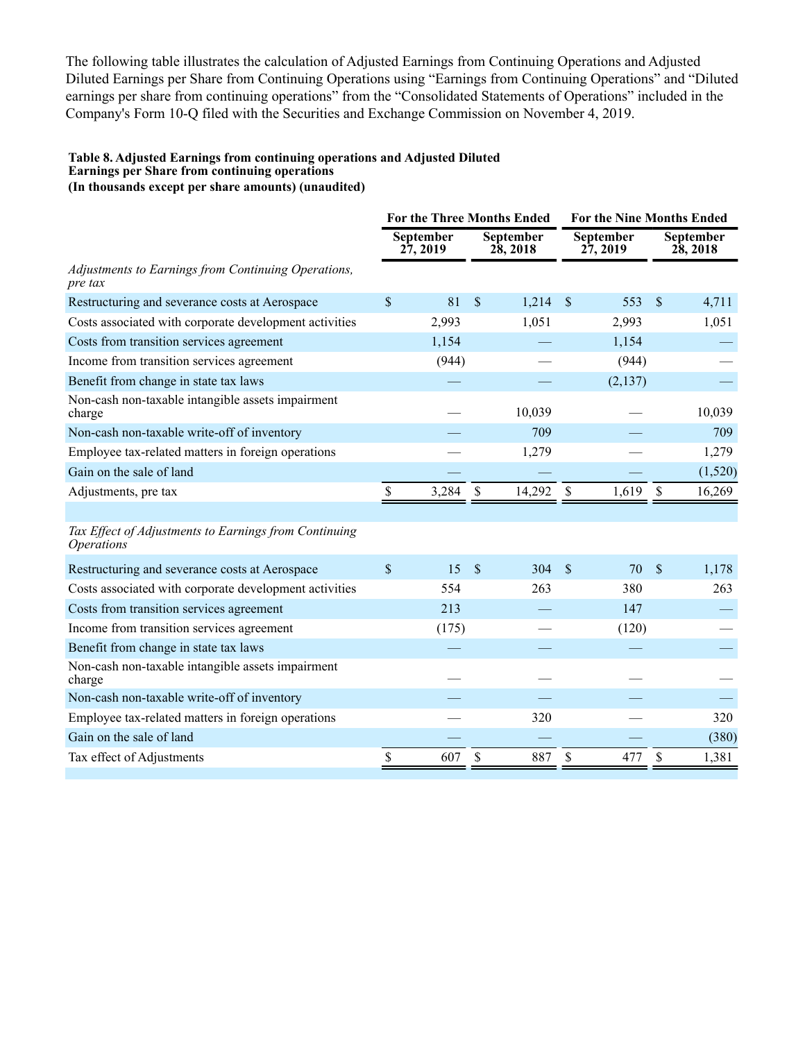The following table illustrates the calculation of Adjusted Earnings from Continuing Operations and Adjusted Diluted Earnings per Share from Continuing Operations using "Earnings from Continuing Operations" and "Diluted earnings per share from continuing operations" from the "Consolidated Statements of Operations" included in the Company's Form 10-Q filed with the Securities and Exchange Commission on November 4, 2019.

#### **Table 8. Adjusted Earnings from continuing operations and Adjusted Diluted Earnings per Share from continuing operations (In thousands except per share amounts) (unaudited)**

**For the Three Months Ended For the Nine Months Ended September 27, 2019 September 28, 2018 September 27, 2019 September 28, 2018** *Adjustments to Earnings from Continuing Operations, pre tax* Restructuring and severance costs at Aerospace  $\begin{array}{cccc} \text{S} & 81 & \text{S} & 1,214 & \text{S} & 553 & \text{S} & 4,711 \end{array}$ Costs associated with corporate development activities 2,993 1,051 2,993 1,051 Costs from transition services agreement  $1,154$   $1,154$   $-$ Income from transition services agreement (944) (944) (944) Benefit from change in state tax laws  $-$  (2,137) Non-cash non-taxable intangible assets impairment charge  $-$  10,039  $-$  10,039 Non-cash non-taxable write-off of inventory — 709 — 709 — 709 709 Employee tax-related matters in foreign operations — 1,279 — 1,279 — 1,279 Gain on the sale of land  $(1,520)$ Adjustments, pre tax  $\qquad \qquad$  \$ 3,284 \, \$ 14,292 \, \$ 1,619 \, \$ 16,269

*Tax Effect of Adjustments to Earnings from Continuing Operations*

| Restructuring and severance costs at Aerospace              | \$. | 15    | - \$ | 304 | - \$ | 70    | - \$ | 1,178 |
|-------------------------------------------------------------|-----|-------|------|-----|------|-------|------|-------|
| Costs associated with corporate development activities      |     | 554   |      | 263 |      | 380   |      | 263   |
| Costs from transition services agreement                    |     | 213   |      |     |      | 147   |      |       |
| Income from transition services agreement                   |     | (175) |      |     |      | (120) |      |       |
| Benefit from change in state tax laws                       |     |       |      |     |      |       |      |       |
| Non-cash non-taxable intangible assets impairment<br>charge |     |       |      |     |      |       |      |       |
| Non-cash non-taxable write-off of inventory                 |     |       |      |     |      |       |      |       |
| Employee tax-related matters in foreign operations          |     |       |      | 320 |      |       |      | 320   |
| Gain on the sale of land                                    |     |       |      |     |      |       |      | (380) |
| Tax effect of Adjustments                                   |     | 607   | S    | 887 |      | 477   | £.   | 1,381 |
|                                                             |     |       |      |     |      |       |      |       |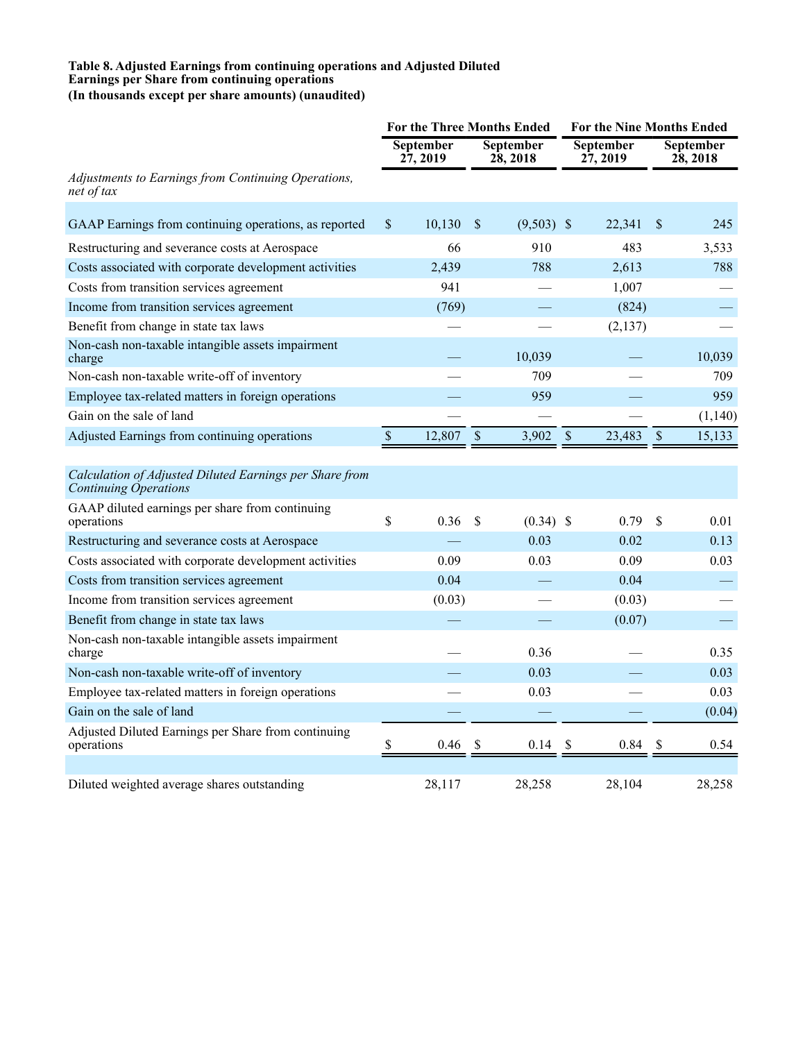#### **Table 8. Adjusted Earnings from continuing operations and Adjusted Diluted Earnings per Share from continuing operations (In thousands except per share amounts) (unaudited)**

|                                                                                  |                           |                      |                           | <b>For the Three Months Ended</b> |                           | <b>For the Nine Months Ended</b> |                    |                       |  |
|----------------------------------------------------------------------------------|---------------------------|----------------------|---------------------------|-----------------------------------|---------------------------|----------------------------------|--------------------|-----------------------|--|
|                                                                                  |                           | September<br>27,2019 |                           | September<br>28, 2018             |                           | <b>September</b><br>27,2019      |                    | September<br>28, 2018 |  |
| Adjustments to Earnings from Continuing Operations,<br>net of tax                |                           |                      |                           |                                   |                           |                                  |                    |                       |  |
| GAAP Earnings from continuing operations, as reported                            | $\mathcal{S}$             | 10,130               | \$                        | $(9,503)$ \$                      |                           | 22,341                           | $\mathbf{s}$       | 245                   |  |
| Restructuring and severance costs at Aerospace                                   |                           | 66                   |                           | 910                               |                           | 483                              |                    | 3,533                 |  |
| Costs associated with corporate development activities                           |                           | 2,439                |                           | 788                               |                           | 2,613                            |                    | 788                   |  |
| Costs from transition services agreement                                         |                           | 941                  |                           |                                   |                           | 1,007                            |                    |                       |  |
| Income from transition services agreement                                        |                           | (769)                |                           |                                   |                           | (824)                            |                    |                       |  |
| Benefit from change in state tax laws                                            |                           |                      |                           |                                   |                           | (2,137)                          |                    |                       |  |
| Non-cash non-taxable intangible assets impairment<br>charge                      |                           |                      |                           | 10,039                            |                           |                                  |                    | 10,039                |  |
| Non-cash non-taxable write-off of inventory                                      |                           |                      |                           | 709                               |                           |                                  |                    | 709                   |  |
| Employee tax-related matters in foreign operations                               |                           |                      |                           | 959                               |                           |                                  |                    | 959                   |  |
| Gain on the sale of land                                                         |                           |                      |                           |                                   |                           |                                  |                    | (1,140)               |  |
| Adjusted Earnings from continuing operations                                     | $\boldsymbol{\mathsf{S}}$ | 12,807               | $\mathcal{S}$             | 3,902                             | $\mathbb S$               | 23,483                           | $\mathbb S$        | 15,133                |  |
|                                                                                  |                           |                      |                           |                                   |                           |                                  |                    |                       |  |
| Calculation of Adjusted Diluted Earnings per Share from<br>Continuing Operations |                           |                      |                           |                                   |                           |                                  |                    |                       |  |
| GAAP diluted earnings per share from continuing<br>operations                    | \$                        | 0.36                 | \$                        | $(0.34)$ \$                       |                           | 0.79                             | $\mathbf{\hat{S}}$ | 0.01                  |  |
| Restructuring and severance costs at Aerospace                                   |                           |                      |                           | 0.03                              |                           | 0.02                             |                    | 0.13                  |  |
| Costs associated with corporate development activities                           |                           | 0.09                 |                           | 0.03                              |                           | 0.09                             |                    | 0.03                  |  |
| Costs from transition services agreement                                         |                           | 0.04                 |                           |                                   |                           | 0.04                             |                    |                       |  |
| Income from transition services agreement                                        |                           | (0.03)               |                           |                                   |                           | (0.03)                           |                    |                       |  |
| Benefit from change in state tax laws                                            |                           |                      |                           |                                   |                           | (0.07)                           |                    |                       |  |
| Non-cash non-taxable intangible assets impairment<br>charge                      |                           |                      |                           | 0.36                              |                           |                                  |                    | 0.35                  |  |
| Non-cash non-taxable write-off of inventory                                      |                           |                      |                           | 0.03                              |                           |                                  |                    | 0.03                  |  |
| Employee tax-related matters in foreign operations                               |                           |                      |                           | 0.03                              |                           |                                  |                    | 0.03                  |  |
| Gain on the sale of land                                                         |                           |                      |                           |                                   |                           |                                  |                    | (0.04)                |  |
| Adjusted Diluted Earnings per Share from continuing<br>operations                | \$                        | 0.46                 | $\boldsymbol{\mathsf{S}}$ | 0.14                              | $\boldsymbol{\mathsf{S}}$ | 0.84                             | \$                 | 0.54                  |  |
| Diluted weighted average shares outstanding                                      |                           | 28,117               |                           | 28,258                            |                           | 28,104                           |                    | 28,258                |  |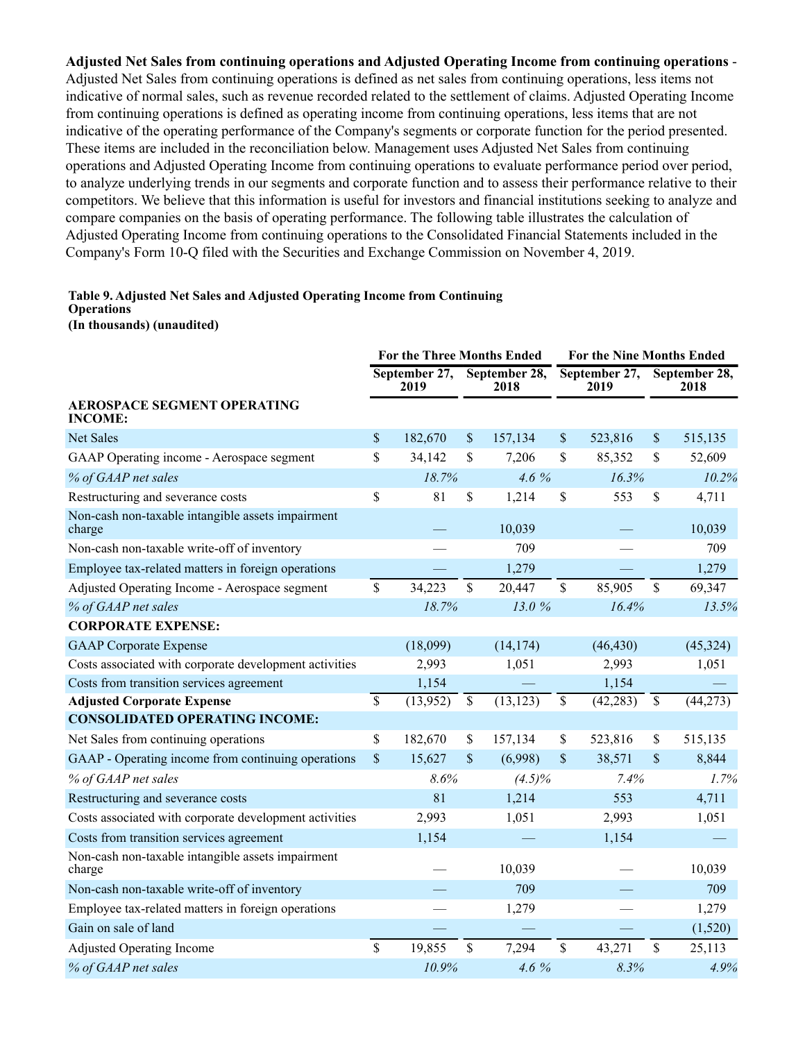**Adjusted Net Sales from continuing operations and Adjusted Operating Income from continuing operations** - Adjusted Net Sales from continuing operations is defined as net sales from continuing operations, less items not indicative of normal sales, such as revenue recorded related to the settlement of claims. Adjusted Operating Income from continuing operations is defined as operating income from continuing operations, less items that are not indicative of the operating performance of the Company's segments or corporate function for the period presented. These items are included in the reconciliation below. Management uses Adjusted Net Sales from continuing operations and Adjusted Operating Income from continuing operations to evaluate performance period over period, to analyze underlying trends in our segments and corporate function and to assess their performance relative to their competitors. We believe that this information is useful for investors and financial institutions seeking to analyze and compare companies on the basis of operating performance. The following table illustrates the calculation of Adjusted Operating Income from continuing operations to the Consolidated Financial Statements included in the Company's Form 10-Q filed with the Securities and Exchange Commission on November 4, 2019.

#### **Table 9. Adjusted Net Sales and Adjusted Operating Income from Continuing Operations**

**(In thousands) (unaudited)**

|                                                             |                 | For the Three Months Ended |                          |                       |              | <b>For the Nine Months Ended</b> |                           |                       |  |
|-------------------------------------------------------------|-----------------|----------------------------|--------------------------|-----------------------|--------------|----------------------------------|---------------------------|-----------------------|--|
|                                                             |                 | September 27,<br>2019      |                          | September 28,<br>2018 |              | September 27,<br>2019            |                           | September 28,<br>2018 |  |
| <b>AEROSPACE SEGMENT OPERATING</b><br><b>INCOME:</b>        |                 |                            |                          |                       |              |                                  |                           |                       |  |
| <b>Net Sales</b>                                            | \$              | 182,670                    | \$                       | 157,134               | \$           | 523,816                          | $\boldsymbol{\mathsf{S}}$ | 515,135               |  |
| GAAP Operating income - Aerospace segment                   | \$              | 34,142                     | \$                       | 7,206                 | \$           | 85,352                           | \$                        | 52,609                |  |
| % of GAAP net sales                                         |                 | 18.7%                      |                          | $4.6\%$               |              | 16.3%                            |                           | 10.2%                 |  |
| Restructuring and severance costs                           | \$              | 81                         | \$                       | 1,214                 | \$           | 553                              | \$                        | 4,711                 |  |
| Non-cash non-taxable intangible assets impairment<br>charge |                 |                            |                          | 10,039                |              |                                  |                           | 10,039                |  |
| Non-cash non-taxable write-off of inventory                 |                 |                            |                          | 709                   |              |                                  |                           | 709                   |  |
| Employee tax-related matters in foreign operations          |                 |                            |                          | 1,279                 |              |                                  |                           | 1,279                 |  |
| Adjusted Operating Income - Aerospace segment               | \$              | 34,223                     | $\mathbf S$              | 20,447                | \$           | 85,905                           | \$                        | 69,347                |  |
| % of GAAP net sales                                         |                 | 18.7%                      |                          | 13.0%                 |              | 16.4%                            |                           | 13.5%                 |  |
| <b>CORPORATE EXPENSE:</b>                                   |                 |                            |                          |                       |              |                                  |                           |                       |  |
| <b>GAAP</b> Corporate Expense                               |                 | (18,099)                   |                          | (14, 174)             |              | (46, 430)                        |                           | (45, 324)             |  |
| Costs associated with corporate development activities      |                 | 2,993                      |                          | 1,051                 |              | 2,993                            |                           | 1,051                 |  |
| Costs from transition services agreement                    |                 | 1,154                      |                          |                       |              | 1,154                            |                           |                       |  |
| <b>Adjusted Corporate Expense</b>                           | $\overline{\$}$ | (13,952)                   | $\overline{\mathcal{S}}$ | (13, 123)             | \$           | (42, 283)                        | $\overline{\$}$           | (44, 273)             |  |
| <b>CONSOLIDATED OPERATING INCOME:</b>                       |                 |                            |                          |                       |              |                                  |                           |                       |  |
| Net Sales from continuing operations                        | \$              | 182,670                    | \$                       | 157,134               | \$           | 523,816                          | \$                        | 515,135               |  |
| GAAP - Operating income from continuing operations          | \$              | 15,627                     | \$                       | (6,998)               | $\mathbb{S}$ | 38,571                           | \$                        | 8,844                 |  |
| % of GAAP net sales                                         |                 | 8.6%                       |                          | $(4.5)\%$             |              | 7.4%                             |                           | 1.7%                  |  |
| Restructuring and severance costs                           |                 | 81                         |                          | 1,214                 |              | 553                              |                           | 4,711                 |  |
| Costs associated with corporate development activities      |                 | 2,993                      |                          | 1,051                 |              | 2,993                            |                           | 1,051                 |  |
| Costs from transition services agreement                    |                 | 1,154                      |                          |                       |              | 1,154                            |                           |                       |  |
| Non-cash non-taxable intangible assets impairment<br>charge |                 |                            |                          | 10,039                |              |                                  |                           | 10,039                |  |
| Non-cash non-taxable write-off of inventory                 |                 |                            |                          | 709                   |              |                                  |                           | 709                   |  |
| Employee tax-related matters in foreign operations          |                 |                            |                          | 1,279                 |              |                                  |                           | 1,279                 |  |
| Gain on sale of land                                        |                 |                            |                          |                       |              |                                  |                           | (1,520)               |  |
| <b>Adjusted Operating Income</b>                            | $\mathsf{\$}$   | 19,855                     | \$                       | 7,294                 | \$           | 43,271                           | \$                        | 25,113                |  |
| % of GAAP net sales                                         |                 | 10.9%                      |                          | 4.6 %                 |              | 8.3%                             |                           | 4.9%                  |  |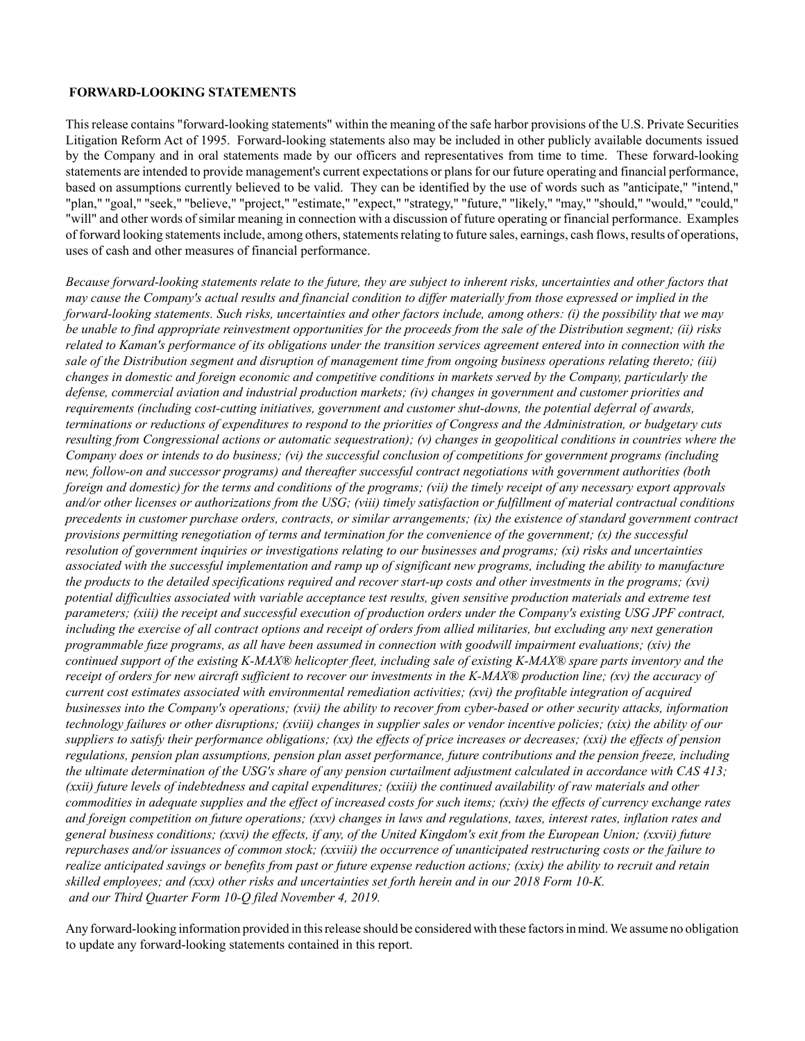#### **FORWARD-LOOKING STATEMENTS**

This release contains "forward-looking statements" within the meaning of the safe harbor provisions of the U.S. Private Securities Litigation Reform Act of 1995. Forward-looking statements also may be included in other publicly available documents issued by the Company and in oral statements made by our officers and representatives from time to time. These forward-looking statements are intended to provide management's current expectations or plans for our future operating and financial performance, based on assumptions currently believed to be valid. They can be identified by the use of words such as "anticipate," "intend," "plan," "goal," "seek," "believe," "project," "estimate," "expect," "strategy," "future," "likely," "may," "should," "would," "could," "will" and other words of similar meaning in connection with a discussion of future operating or financial performance. Examples of forward looking statements include, among others, statements relating to future sales, earnings, cash flows, results of operations, uses of cash and other measures of financial performance.

*Because forward-looking statements relate to the future, they are subject to inherent risks, uncertainties and other factors that may cause the Company's actual results and financial condition to differ materially from those expressed or implied in the forward-looking statements. Such risks, uncertainties and other factors include, among others: (i) the possibility that we may be unable to find appropriate reinvestment opportunities for the proceeds from the sale of the Distribution segment; (ii) risks related to Kaman's performance of its obligations under the transition services agreement entered into in connection with the sale of the Distribution segment and disruption of management time from ongoing business operations relating thereto; (iii) changes in domestic and foreign economic and competitive conditions in markets served by the Company, particularly the defense, commercial aviation and industrial production markets; (iv) changes in government and customer priorities and requirements (including cost-cutting initiatives, government and customer shut-downs, the potential deferral of awards, terminations or reductions of expenditures to respond to the priorities of Congress and the Administration, or budgetary cuts resulting from Congressional actions or automatic sequestration); (v) changes in geopolitical conditions in countries where the Company does or intends to do business; (vi) the successful conclusion of competitions for government programs (including new, follow-on and successor programs) and thereafter successful contract negotiations with government authorities (both foreign and domestic) for the terms and conditions of the programs; (vii) the timely receipt of any necessary export approvals and/or other licenses or authorizations from the USG; (viii) timely satisfaction or fulfillment of material contractual conditions precedents in customer purchase orders, contracts, or similar arrangements; (ix) the existence of standard government contract provisions permitting renegotiation of terms and termination for the convenience of the government; (x) the successful resolution of government inquiries or investigations relating to our businesses and programs; (xi) risks and uncertainties associated with the successful implementation and ramp up of significant new programs, including the ability to manufacture the products to the detailed specifications required and recover start-up costs and other investments in the programs; (xvi) potential difficulties associated with variable acceptance test results, given sensitive production materials and extreme test parameters; (xiii) the receipt and successful execution of production orders under the Company's existing USG JPF contract, including the exercise of all contract options and receipt of orders from allied militaries, but excluding any next generation programmable fuze programs, as all have been assumed in connection with goodwill impairment evaluations; (xiv) the continued support of the existing K-MAX® helicopter fleet, including sale of existing K-MAX® spare parts inventory and the receipt of orders for new aircraft sufficient to recover our investments in the K-MAX® production line; (xv) the accuracy of current cost estimates associated with environmental remediation activities; (xvi) the profitable integration of acquired businesses into the Company's operations; (xvii) the ability to recover from cyber-based or other security attacks, information technology failures or other disruptions; (xviii) changes in supplier sales or vendor incentive policies; (xix) the ability of our suppliers to satisfy their performance obligations; (xx) the effects of price increases or decreases; (xxi) the effects of pension regulations, pension plan assumptions, pension plan asset performance, future contributions and the pension freeze, including the ultimate determination of the USG's share of any pension curtailment adjustment calculated in accordance with CAS 413; (xxii) future levels of indebtedness and capital expenditures; (xxiii) the continued availability of raw materials and other commodities in adequate supplies and the effect of increased costs for such items; (xxiv) the effects of currency exchange rates and foreign competition on future operations; (xxv) changes in laws and regulations, taxes, interest rates, inflation rates and general business conditions; (xxvi) the effects, if any, of the United Kingdom's exit from the European Union; (xxvii) future repurchases and/or issuances of common stock; (xxviii) the occurrence of unanticipated restructuring costs or the failure to realize anticipated savings or benefits from past or future expense reduction actions; (xxix) the ability to recruit and retain skilled employees; and (xxx) other risks and uncertainties set forth herein and in our 2018 Form 10-K. and our Third Quarter Form 10-Q filed November 4, 2019.*

Any forward-looking information provided in this release should be considered with these factors in mind. We assume no obligation to update any forward-looking statements contained in this report.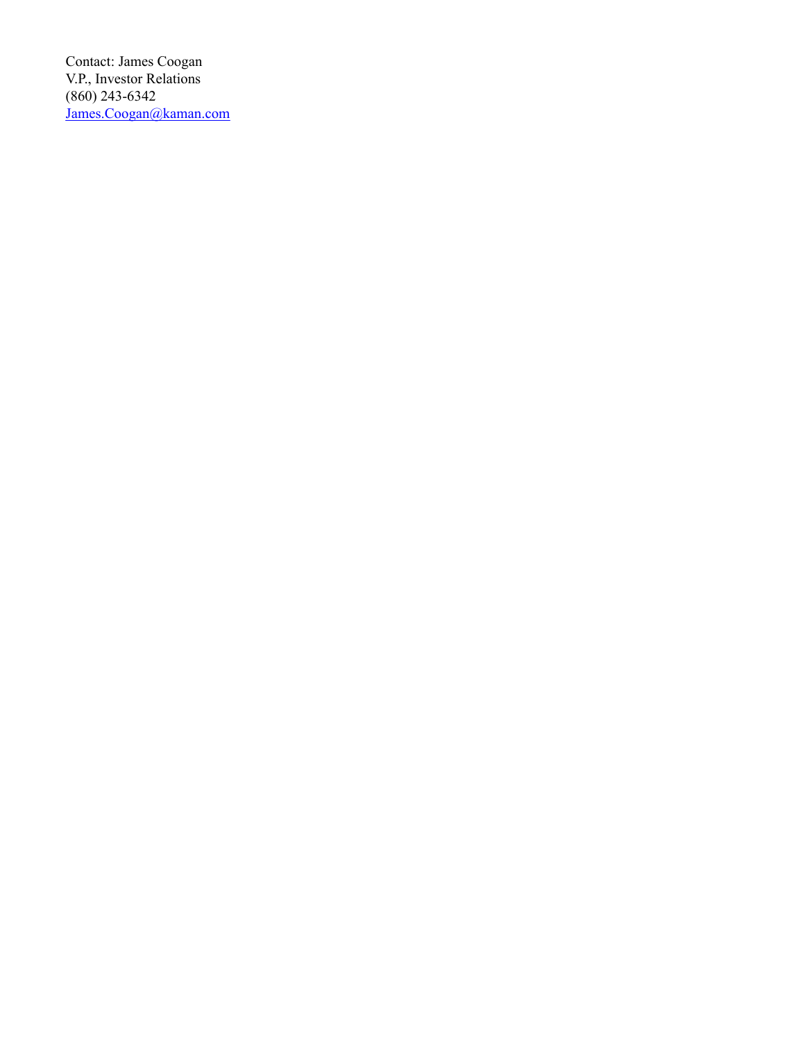Contact: James Coogan V.P., Investor Relations (860) 243-6342 James.Coogan@kaman.com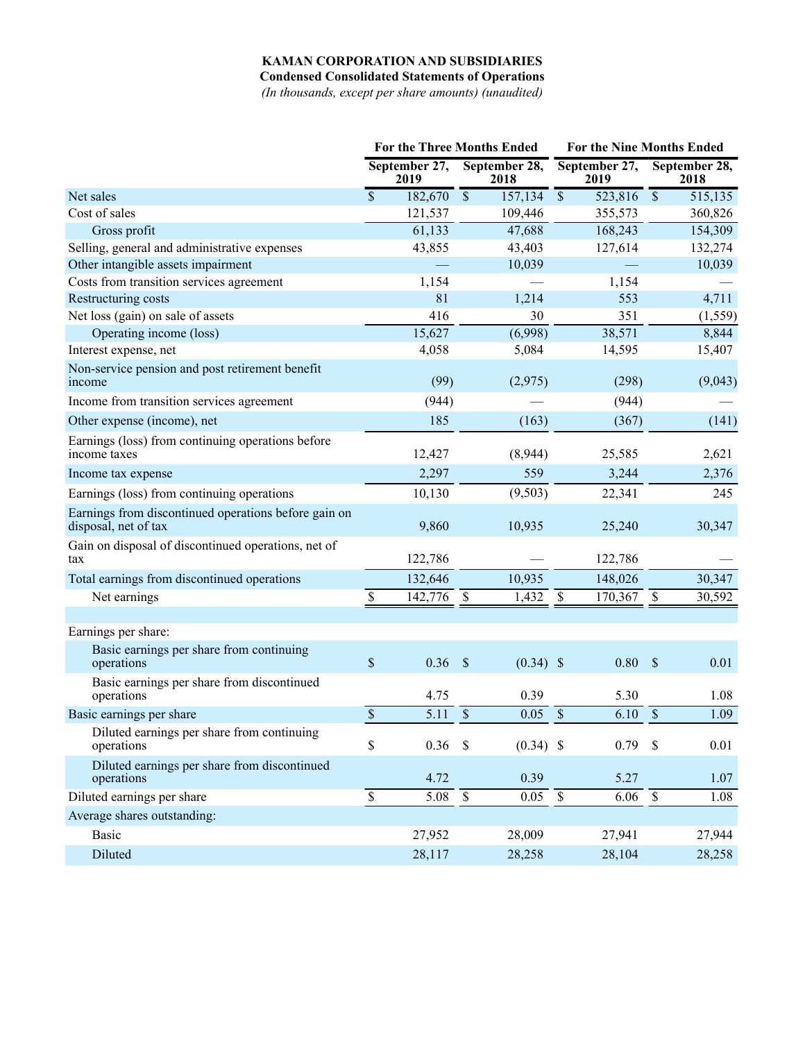**Condensed Consolidated Statements of Operations**

*(In thousands, except per share amounts) (unaudited)*

|                                                                              |                          |                       | <b>For the Three Months Ended</b>   |                          | <b>For the Nine Months Ended</b> |                          |                       |  |  |
|------------------------------------------------------------------------------|--------------------------|-----------------------|-------------------------------------|--------------------------|----------------------------------|--------------------------|-----------------------|--|--|
|                                                                              |                          | September 27,<br>2019 | September 28,<br>2018               |                          | September 27,<br>2019            |                          | September 28,<br>2018 |  |  |
| Net sales                                                                    | $\overline{\mathcal{S}}$ | 182,670               | $\overline{\mathcal{S}}$<br>157,134 | $\overline{\$}$          | 523,816                          | $\overline{\mathcal{S}}$ | 515,135               |  |  |
| Cost of sales                                                                |                          | 121,537               | 109,446                             |                          | 355,573                          |                          | 360,826               |  |  |
| Gross profit                                                                 |                          | 61,133                | 47,688                              |                          | 168,243                          |                          | 154,309               |  |  |
| Selling, general and administrative expenses                                 |                          | 43,855                | 43,403                              |                          | 127,614                          |                          | 132,274               |  |  |
| Other intangible assets impairment                                           |                          |                       | 10,039                              |                          |                                  |                          | 10,039                |  |  |
| Costs from transition services agreement                                     |                          | 1,154                 |                                     |                          | 1,154                            |                          |                       |  |  |
| Restructuring costs                                                          |                          | 81                    | 1,214                               |                          | 553                              |                          | 4,711                 |  |  |
| Net loss (gain) on sale of assets                                            |                          | 416                   | 30                                  |                          | 351                              |                          | (1, 559)              |  |  |
| Operating income (loss)                                                      |                          | 15,627                | (6,998)                             |                          | 38,571                           |                          | 8,844                 |  |  |
| Interest expense, net                                                        |                          | 4,058                 | 5,084                               |                          | 14,595                           |                          | 15,407                |  |  |
| Non-service pension and post retirement benefit<br>income                    |                          | (99)                  | (2,975)                             |                          | (298)                            |                          | (9,043)               |  |  |
| Income from transition services agreement                                    |                          | (944)                 |                                     |                          | (944)                            |                          |                       |  |  |
| Other expense (income), net                                                  |                          | 185                   | (163)                               |                          | (367)                            |                          | (141)                 |  |  |
| Earnings (loss) from continuing operations before<br>income taxes            |                          | 12,427                | (8,944)                             |                          | 25,585                           |                          | 2,621                 |  |  |
| Income tax expense                                                           |                          | 2,297                 | 559                                 |                          | 3,244                            |                          | 2,376                 |  |  |
| Earnings (loss) from continuing operations                                   |                          | 10,130                | (9,503)                             |                          | 22,341                           |                          | 245                   |  |  |
| Earnings from discontinued operations before gain on<br>disposal, net of tax |                          | 9,860                 | 10,935                              |                          | 25,240                           |                          | 30,347                |  |  |
| Gain on disposal of discontinued operations, net of<br>tax                   |                          | 122,786               |                                     |                          | 122,786                          |                          |                       |  |  |
| Total earnings from discontinued operations                                  |                          | 132,646               | 10,935                              |                          | 148,026                          |                          | 30,347                |  |  |
| Net earnings                                                                 | \$                       | 142,776               | $\boldsymbol{\mathsf{S}}$<br>1,432  | \$                       | 170,367                          | \$                       | 30,592                |  |  |
|                                                                              |                          |                       |                                     |                          |                                  |                          |                       |  |  |
| Earnings per share:                                                          |                          |                       |                                     |                          |                                  |                          |                       |  |  |
| Basic earnings per share from continuing<br>operations                       | \$                       | 0.36                  | $\sqrt{3}$<br>$(0.34)$ \$           |                          | 0.80                             | $\mathcal{S}$            | 0.01                  |  |  |
| Basic earnings per share from discontinued<br>operations                     |                          | 4.75                  | 0.39                                |                          | 5.30                             |                          | 1.08                  |  |  |
| Basic earnings per share                                                     | $\overline{\mathcal{S}}$ | 5.11                  | $\mathsf{\$}$<br>0.05               | $\sqrt{\ }$              | 6.10                             | $\mathcal{S}$            | 1.09                  |  |  |
| Diluted earnings per share from continuing<br>operations                     | \$                       | $0.36$ \$             | $(0.34)$ \$                         |                          | 0.79                             | $\mathcal{S}$            | 0.01                  |  |  |
| Diluted earnings per share from discontinued<br>operations                   |                          | 4.72                  | 0.39                                |                          | 5.27                             |                          | 1.07                  |  |  |
| Diluted earnings per share                                                   | $\overline{\mathbb{S}}$  | 5.08                  | $\overline{\mathcal{S}}$<br>0.05    | $\overline{\mathcal{S}}$ | 6.06                             | $\overline{\mathcal{S}}$ | 1.08                  |  |  |
| Average shares outstanding:                                                  |                          |                       |                                     |                          |                                  |                          |                       |  |  |
| <b>Basic</b>                                                                 |                          | 27,952                | 28,009                              |                          | 27,941                           |                          | 27,944                |  |  |
| Diluted                                                                      |                          | 28,117                | 28,258                              |                          | 28,104                           |                          | 28,258                |  |  |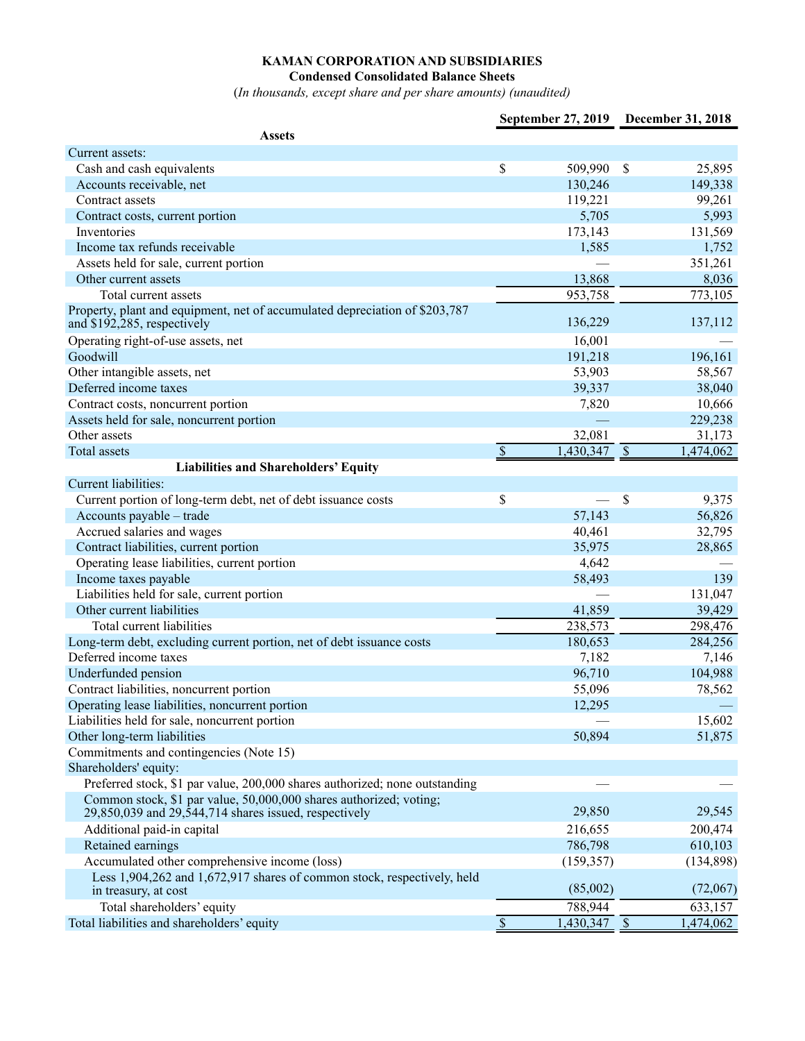**Condensed Consolidated Balance Sheets**

(*In thousands, except share and per share amounts) (unaudited)*

|                                                                                                                             |                          |                | September 27, 2019 December 31, 2018 |
|-----------------------------------------------------------------------------------------------------------------------------|--------------------------|----------------|--------------------------------------|
| <b>Assets</b>                                                                                                               |                          |                |                                      |
| Current assets:                                                                                                             |                          |                |                                      |
| Cash and cash equivalents                                                                                                   | \$                       | 509,990        | \$<br>25,895                         |
| Accounts receivable, net                                                                                                    |                          | 130,246        | 149,338                              |
| Contract assets                                                                                                             |                          | 119,221        | 99,261                               |
| Contract costs, current portion                                                                                             |                          | 5,705          | 5,993                                |
| Inventories                                                                                                                 |                          | 173,143        | 131,569                              |
| Income tax refunds receivable                                                                                               |                          | 1,585          | 1,752                                |
| Assets held for sale, current portion                                                                                       |                          |                | 351,261                              |
| Other current assets                                                                                                        |                          | 13,868         | 8,036                                |
| Total current assets                                                                                                        |                          | 953,758        | 773,105                              |
| Property, plant and equipment, net of accumulated depreciation of \$203,787<br>and \$192,285, respectively                  |                          | 136,229        | 137,112                              |
| Operating right-of-use assets, net                                                                                          |                          | 16,001         |                                      |
| Goodwill                                                                                                                    |                          | 191,218        | 196,161                              |
| Other intangible assets, net                                                                                                |                          | 53,903         | 58,567                               |
| Deferred income taxes                                                                                                       |                          | 39,337         | 38,040                               |
| Contract costs, noncurrent portion                                                                                          |                          | 7,820          | 10,666                               |
| Assets held for sale, noncurrent portion                                                                                    |                          |                | 229,238                              |
| Other assets                                                                                                                |                          | 32,081         | 31,173                               |
| Total assets                                                                                                                | \$                       | $1,430,347$ \$ | 1,474,062                            |
| <b>Liabilities and Shareholders' Equity</b>                                                                                 |                          |                |                                      |
| Current liabilities:                                                                                                        |                          |                |                                      |
| Current portion of long-term debt, net of debt issuance costs                                                               | \$                       |                | \$<br>9,375                          |
| Accounts payable - trade                                                                                                    |                          | 57,143         | 56,826                               |
| Accrued salaries and wages                                                                                                  |                          | 40,461         | 32,795                               |
| Contract liabilities, current portion                                                                                       |                          | 35,975         | 28,865                               |
| Operating lease liabilities, current portion                                                                                |                          | 4,642          |                                      |
| Income taxes payable                                                                                                        |                          | 58,493         | 139                                  |
| Liabilities held for sale, current portion                                                                                  |                          |                | 131,047                              |
| Other current liabilities                                                                                                   |                          | 41,859         | 39,429                               |
| Total current liabilities                                                                                                   |                          | 238,573        | 298,476                              |
| Long-term debt, excluding current portion, net of debt issuance costs                                                       |                          | 180,653        | 284,256                              |
| Deferred income taxes                                                                                                       |                          | 7,182          | 7,146                                |
| Underfunded pension                                                                                                         |                          | 96,710         | 104,988                              |
| Contract liabilities, noncurrent portion                                                                                    |                          | 55,096         | 78,562                               |
| Operating lease liabilities, noncurrent portion                                                                             |                          | 12,295         |                                      |
| Liabilities held for sale, noncurrent portion                                                                               |                          |                | 15,602                               |
| Other long-term liabilities                                                                                                 |                          | 50,894         | 51,875                               |
| Commitments and contingencies (Note 15)                                                                                     |                          |                |                                      |
| Shareholders' equity:                                                                                                       |                          |                |                                      |
| Preferred stock, \$1 par value, 200,000 shares authorized; none outstanding                                                 |                          |                |                                      |
| Common stock, \$1 par value, 50,000,000 shares authorized; voting;<br>29,850,039 and 29,544,714 shares issued, respectively |                          | 29,850         | 29,545                               |
| Additional paid-in capital                                                                                                  |                          | 216,655        | 200,474                              |
| Retained earnings                                                                                                           |                          | 786,798        | 610,103                              |
| Accumulated other comprehensive income (loss)                                                                               |                          | (159, 357)     | (134, 898)                           |
| Less 1,904,262 and 1,672,917 shares of common stock, respectively, held<br>in treasury, at cost                             |                          | (85,002)       | (72,067)                             |
| Total shareholders' equity                                                                                                  |                          | 788,944        | 633,157                              |
| Total liabilities and shareholders' equity                                                                                  | $\overline{\mathcal{S}}$ | $1,430,347$ \$ | 1,474,062                            |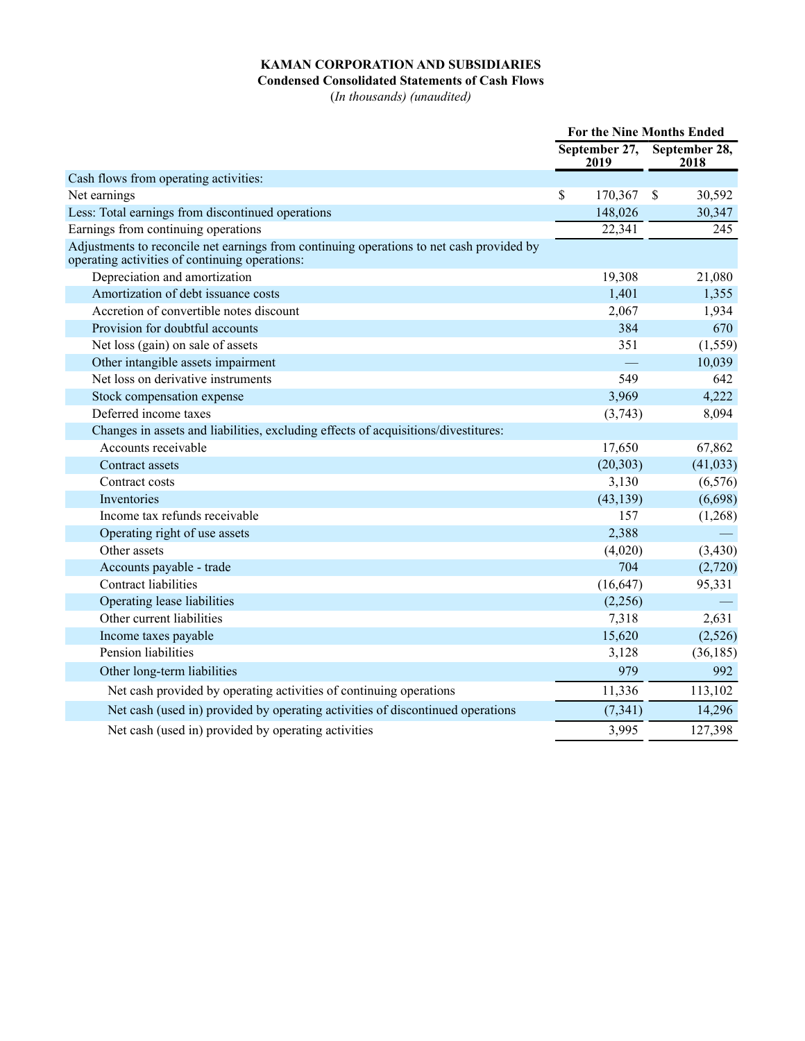## **Condensed Consolidated Statements of Cash Flows**

(*In thousands) (unaudited)*

|                                                                                                                                            |                       | <b>For the Nine Months Ended</b> |                       |
|--------------------------------------------------------------------------------------------------------------------------------------------|-----------------------|----------------------------------|-----------------------|
|                                                                                                                                            | September 27,<br>2019 |                                  | September 28,<br>2018 |
| Cash flows from operating activities:                                                                                                      |                       |                                  |                       |
| Net earnings                                                                                                                               | \$<br>170,367         | \$                               | 30,592                |
| Less: Total earnings from discontinued operations                                                                                          | 148,026               |                                  | 30,347                |
| Earnings from continuing operations                                                                                                        | 22,341                |                                  | 245                   |
| Adjustments to reconcile net earnings from continuing operations to net cash provided by<br>operating activities of continuing operations: |                       |                                  |                       |
| Depreciation and amortization                                                                                                              | 19,308                |                                  | 21,080                |
| Amortization of debt issuance costs                                                                                                        | 1,401                 |                                  | 1,355                 |
| Accretion of convertible notes discount                                                                                                    | 2,067                 |                                  | 1,934                 |
| Provision for doubtful accounts                                                                                                            | 384                   |                                  | 670                   |
| Net loss (gain) on sale of assets                                                                                                          | 351                   |                                  | (1, 559)              |
| Other intangible assets impairment                                                                                                         |                       |                                  | 10,039                |
| Net loss on derivative instruments                                                                                                         | 549                   |                                  | 642                   |
| Stock compensation expense                                                                                                                 | 3,969                 |                                  | 4,222                 |
| Deferred income taxes                                                                                                                      | (3,743)               |                                  | 8,094                 |
| Changes in assets and liabilities, excluding effects of acquisitions/divestitures:                                                         |                       |                                  |                       |
| Accounts receivable                                                                                                                        | 17,650                |                                  | 67,862                |
| Contract assets                                                                                                                            | (20, 303)             |                                  | (41, 033)             |
| Contract costs                                                                                                                             | 3,130                 |                                  | (6, 576)              |
| Inventories                                                                                                                                | (43, 139)             |                                  | (6,698)               |
| Income tax refunds receivable                                                                                                              | 157                   |                                  | (1,268)               |
| Operating right of use assets                                                                                                              | 2,388                 |                                  |                       |
| Other assets                                                                                                                               | (4,020)               |                                  | (3, 430)              |
| Accounts payable - trade                                                                                                                   | 704                   |                                  | (2,720)               |
| <b>Contract liabilities</b>                                                                                                                | (16, 647)             |                                  | 95,331                |
| Operating lease liabilities                                                                                                                | (2,256)               |                                  |                       |
| Other current liabilities                                                                                                                  | 7,318                 |                                  | 2,631                 |
| Income taxes payable                                                                                                                       | 15,620                |                                  | (2,526)               |
| Pension liabilities                                                                                                                        | 3,128                 |                                  | (36, 185)             |
| Other long-term liabilities                                                                                                                | 979                   |                                  | 992                   |
| Net cash provided by operating activities of continuing operations                                                                         | 11,336                |                                  | 113,102               |
| Net cash (used in) provided by operating activities of discontinued operations                                                             | (7, 341)              |                                  | 14,296                |
| Net cash (used in) provided by operating activities                                                                                        | 3,995                 |                                  | 127,398               |